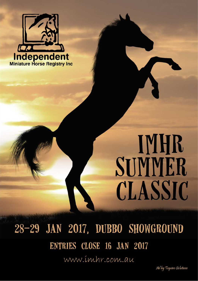

# **IMHR** SUMMER CLASSIC

28-29 JAN 2017, DUBBO SHOWGROUND ENTRIES CLOSE 16 JAN 2017 www.imhr.com.au

Ad by Tequine Solutions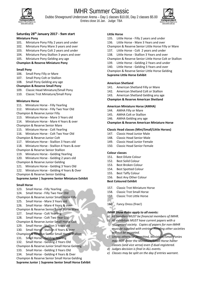

## IMHR Summer Classic

Dubbo Showground Undercover Arena – Day 1 classes \$10.00, Day 2 classes \$5.00 Entries close 16 Jan. Judge: TBA



## **Saturday 28th January 2017 - 9am start**

#### **Miniature Pony**

- 101. Miniature Pony Filly 2 years and under
- 102. Miniature Pony Mare 3 years and over
- 103. Miniature Pony Colt 2 years and under
- 104. Miniature Pony Stallion 3 years and over
- 105. Miniature Pony Gelding any age
- **Champion & Reserve Miniature Pony**

#### **Small Pony**

- 106. Small Pony Filly or Mare
- 107. Small Pony Colt or Stallion
- 108. Small Pony Gelding any age

#### **Champion & Reserve Small Pony**

- 109. Classic Head Miniature/Small Pony
- 110. Classic Trot Miniature/Small Pony

#### **Miniature Horse**

- 111. Miniature Horse Filly Yearling
- 112. Miniature Horse Filly Two Year Old
- Champion & Reserve Junior Filly
- 113. Miniature Horse Mare 3 Years old 114. Miniature Horse - Mare 4 Years & over
- Champion & Reserve Senior Mare
- 115. Miniature Horse Colt Yearling
- 116. Miniature Horse Colt Two Year Old
- Champion & Reserve Junior Colt
- 117. Miniature Horse Stallion 3 Years old
- 118. Miniature Horse Stallion 4 Years & over
- Champion & Reserve Senior Stallion
- 119. Miniature Horse Gelding Yearling
- 120. Miniature Horse Gelding 2 years old
- Champion & Reserve Junior Gelding
- 121. Miniature Horse Gelding 3 Years Old
- 122. Miniature Horse Gelding 4 Years & Over
- Champion & Reserve Senior Gelding

#### **Supreme Junior | Supreme Senior Miniature Exhibit**

#### **Small Horse**

123. Small Horse - Filly Yearling 124. Small Horse - Filly Two Year Old Champion & Reserve Junior Small Horse Filly 125. Small Horse - Mare 3 Years old 126. Small Horse - Mare 4 Years & over Champion & Reserve Senior Small Horse Mare 127. Small Horse - Colt Yearling 128. Small Horse - Colt Two Year Old Champion & Reserve Junior Small Horse Colt 129. Small Horse - Stallion 3 Years old 130. Small Horse - Stallion 4 Years & over Champion & Reserve Senior Small Horse Stallion 131. Small Horse - Gelding Yearling 132. Small Horse - Gelding 2 Years Old Champion & Reserve Junior Small Horse Gelding 133. Small Horse - Gelding 3 Years Old 134. Small Horse - Gelding 4 Years & Over Champion & Reserve Senior Small Horse Gelding **Supreme Junior | Supreme Senior Small Horse Exhibit**

#### **Little Horse**

- 135. Little Horse Filly 2 years and under
- 136. Little Horse Mare 3 Years and over
- Champion & Reserve Senior Little Horse Filly or Mare
- 137. Little Horse Colt 2 years and under
- 138. Little Horse Stallion 3 Years and over
- Champion & Reserve Senior Little Horse Colt or Stallion
- 139. Little Horse Gelding 2 Years and under
- 140. Little Horse Gelding 3 Years and over

Champion & Reserve Senior Little Horse Gelding **Supreme Little Horse Exhibit**

#### **American Shetland**

- 141. American Shetland Filly or Mare
- 142. American Shetland Colt or Stallion
- 143. American Shetland Gelding any age

#### **Champion & Reserve American Shetland**

#### **American Miniature Horse (AMHA)**

- 144. AMHA Filly or Mare
- 145. AMHA Colt or Stallion
- 146. AMHA Gelding any age

**Champion & Reserve American Miniature Horse**

#### **Classic Head classes (Mini/Small/Little Horses)**

- 147. Classic Head Junior Male
- 148. Classic Head Senior Male
- 149. Classic Head Junior Female
- 150. Classic Head Senior Female

#### **Colour classes**

- 151. Best Dilute Colour
- 152. Best Solid Colour
- 153. Best Broken Colour
- 154. Best Spotted Colour
- 155. Best Taffy Colour
- 156. Best Any Other Colour

#### **Best Coloured Exhibit**

- 157. Classic Trot Miniature Horse
- 158. Classic Trot Small Horse
- 159. Classic Trot Little Horse

160. Fancy Dress (free!)

#### *IMHR Show Rules apply to all events:*

- *a) All handlers MUST be financial members of IMHR.*
- *b) All exhibitors MUST have current papers with a recognised society. Copies of papers for non-IMHR must be supplied with entries. Pending other societies will not be accepted.*
- *c) Unless otherwise permitted, Miniature/Small Ponies may NOT enter the Miniature/Small Horse halter classes (and vice versa) even if dual-registered.*
- *d) Judges decision is final in ALL events.*
- *e) Classes may be split on the day if entries warrant.*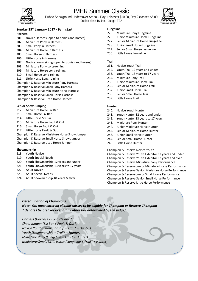

## IMHR Summer Classic

Dubbo Showground Undercover Arena – Day 1 classes \$10.00, Day 2 classes \$5.00 Entries close 16 Jan. Judge: TBA



### **Sunday 29th January 2017 - 9am start**

#### **Harness**

- 201. Novice Harness (open to ponies and horses)
- 202. Miniature Pony in Harness
- 203. Small Pony in Harness
- 204. Miniature Horse in Harness
- 205. Small Horse in Harness
- 206. Little Horse in Harness
- 207. Novice Long-reining (open to ponies and horses)
- 208. Miniature Pony Long-reining
- 209. Miniature Horse Long-reining
- 210. Small Horse Long-reining
- 211. Little Horse Long-reining

Champion & Reserve Miniature Pony Harness

Champion & Reserve Small Pony Harness

Champion & Reserve Miniature Horse Harness

Champion & Reserve Small Horse Harness

Champion & Reserve Little Horse Harness

#### **Senior Show Jumping**

- 212. Miniature Horse Six Bar
- 213. Small Horse Six Bar
- 214. Little Horse Six Bar
- 215. Miniature Horse Fault & Out
- 216. Small Horse Fault & Out
- 217. Little Horse Fault & Out

Champion & Reserve Miniature Horse Show Jumper Champion & Reserve Small Horse Show Jumper Champion & Reserve Little Horse Jumper

#### **Showmanship**

- 218. Youth Novice
- 219. Youth Special Needs
- 220. Youth Showmanship 12 years and under
- 221. Youth Showmanship 13 years to 17 years
- 222. Adult Novice
- 223. Adult Special Needs
- 224. Adult Showmanship 18 Years & Over

#### **Lungeline**

- 225. Miniature Pony Lungeline
- 226. Junior Miniature Horse Lungeline
- 227. Senior Miniature Horse Lungeline
- 228. Junior Small Horse Lungeline
- 229. Senior Small Horse Lungeline
- 230. Little Horse Lungeline

#### **Trail**

- 231. Novice Youth Trail
- 232. Youth Trail 12 years and under
- 233. Youth Trail 13 years to 17 years
- 234. Miniature Pony Trail
- 235. Junior Miniature Horse Trail
- 236. Senior Miniature Horse Trail
- 237. Junior Small Horse Trail
- 238. Senior Small Horse Trail
- 239. Little Horse Trail

#### **Hunter**

- 240. Novice Youth Hunter
- 241. Youth Hunter 12 years and under
- 242. Youth Hunter 13 years to 17 years
- 243. Miniature Pony Hunter
- 244. Junior Miniature Horse Hunter
- 245. Senior Miniature Horse Hunter
- 246. Junior Small Horse Hunter
- 247. Senior Small Horse Hunter
- 248. Little Horse Hunter

Champion & Reserve Novice Youth

Champion & Reserve Youth Exhibitor 12 years and under Champion & Reserve Youth Exhibitor 13 years and over Champion & Reserve Miniature Pony Performance Champion & Reserve Junior Miniature Horse Performance Champion & Reserve Senior Miniature Horse Performance Champion & Reserve Junior Small Horse Performance Champion & Reserve Senior Small Horse Performance Champion & Reserve Little Horse Performance

#### *Determination of Champions:*

*Note: You must enter all eligible classes to be eligible for Champion or Reserve Champion \* denotes tie breaker event (any other ties determined by the judge)*

*Harness (Harness + Long-Reining\*) Show Jumper (Six Bar + Fault & Out\*) Novice Youth (Showmanship + Trail\* + Hunter) Youth (Showmanship + Trail\* + Hunter) Miniature Pony (Lungeline + Trail\* + Hunter) Miniature/Small/Little Horse (Lungeline + Trail\* + Hunter)*